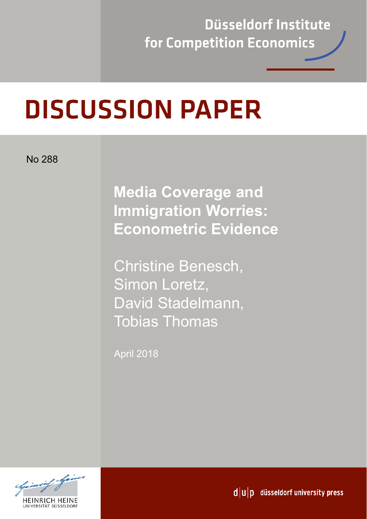**Düsseldorf Institute** for Competition Economics

# **DISCUSSION PAPER**

No 288

**Media Coverage and Immigration Worries: Econometric Evidence** 

Christine Benesch, Simon Loretz, David Stadelmann, Tobias Thomas

April 2018



 $d|u|p$  düsseldorf university press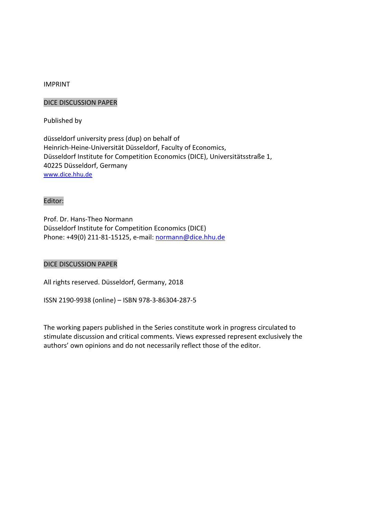# IMPRINT

# DICE DISCUSSION PAPER

Published by

düsseldorf university press (dup) on behalf of Heinrich‐Heine‐Universität Düsseldorf, Faculty of Economics, Düsseldorf Institute for Competition Economics (DICE), Universitätsstraße 1, 40225 Düsseldorf, Germany www.dice.hhu.de

# Editor:

Prof. Dr. Hans‐Theo Normann Düsseldorf Institute for Competition Economics (DICE) Phone: +49(0) 211‐81‐15125, e‐mail: normann@dice.hhu.de

# DICE DISCUSSION PAPER

All rights reserved. Düsseldorf, Germany, 2018

ISSN 2190‐9938 (online) – ISBN 978‐3‐86304‐287‐5

The working papers published in the Series constitute work in progress circulated to stimulate discussion and critical comments. Views expressed represent exclusively the authors' own opinions and do not necessarily reflect those of the editor.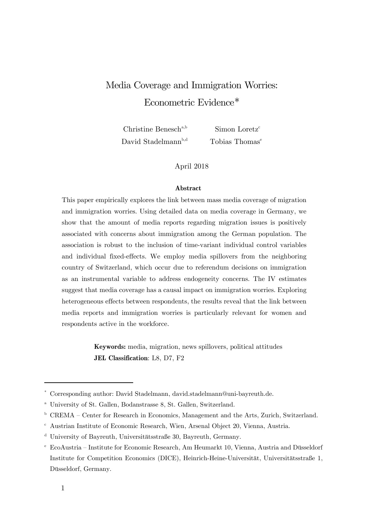# Media Coverage and Immigration Worries: Econometric Evidence $*$

Christine Benesch<sup>a,b</sup> Simon Loretz<sup>c</sup> David Stadelmann<sup>b,d</sup> Tobias Thomas<sup>e</sup>

April 2018

#### **Abstract**

This paper empirically explores the link between mass media coverage of migration and immigration worries. Using detailed data on media coverage in Germany, we show that the amount of media reports regarding migration issues is positively associated with concerns about immigration among the German population. The association is robust to the inclusion of time-variant individual control variables and individual fixed-effects. We employ media spillovers from the neighboring country of Switzerland, which occur due to referendum decisions on immigration as an instrumental variable to address endogeneity concerns. The IV estimates suggest that media coverage has a causal impact on immigration worries. Exploring heterogeneous effects between respondents, the results reveal that the link between media reports and immigration worries is particularly relevant for women and respondents active in the workforce.

> **Keywords:** media, migration, news spillovers, political attitudes **JEL Classification**: L8, D7, F2

1

<sup>\*</sup> Corresponding author: David Stadelmann, david.stadelmann@uni-bayreuth.de.

<sup>a</sup> University of St. Gallen, Bodanstrasse 8, St. Gallen, Switzerland.

 $b$  CREMA – Center for Research in Economics, Management and the Arts, Zurich, Switzerland.

<sup>c</sup> Austrian Institute of Economic Research, Wien, Arsenal Object 20, Vienna, Austria.

<sup>d</sup> University of Bayreuth, Universitätsstraße 30, Bayreuth, Germany.

<sup>e</sup> EcoAustria – Institute for Economic Research, Am Heumarkt 10, Vienna, Austria and Düsseldorf Institute for Competition Economics (DICE), Heinrich-Heine-Universität, Universitätsstraße 1, Düsseldorf, Germany.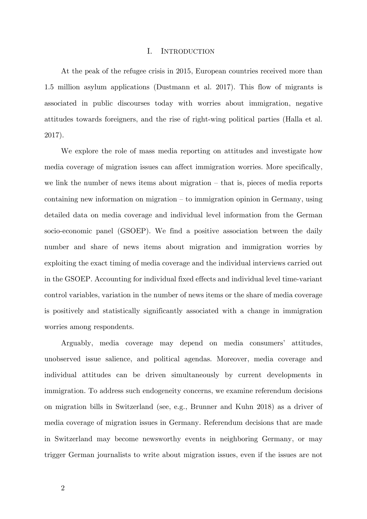#### I. INTRODUCTION

At the peak of the refugee crisis in 2015, European countries received more than 1.5 million asylum applications (Dustmann et al. 2017). This flow of migrants is associated in public discourses today with worries about immigration, negative attitudes towards foreigners, and the rise of right-wing political parties (Halla et al. 2017).

We explore the role of mass media reporting on attitudes and investigate how media coverage of migration issues can affect immigration worries. More specifically, we link the number of news items about migration – that is, pieces of media reports containing new information on migration – to immigration opinion in Germany, using detailed data on media coverage and individual level information from the German socio-economic panel (GSOEP). We find a positive association between the daily number and share of news items about migration and immigration worries by exploiting the exact timing of media coverage and the individual interviews carried out in the GSOEP. Accounting for individual fixed effects and individual level time-variant control variables, variation in the number of news items or the share of media coverage is positively and statistically significantly associated with a change in immigration worries among respondents.

Arguably, media coverage may depend on media consumers' attitudes, unobserved issue salience, and political agendas. Moreover, media coverage and individual attitudes can be driven simultaneously by current developments in immigration. To address such endogeneity concerns, we examine referendum decisions on migration bills in Switzerland (see, e.g., Brunner and Kuhn 2018) as a driver of media coverage of migration issues in Germany. Referendum decisions that are made in Switzerland may become newsworthy events in neighboring Germany, or may trigger German journalists to write about migration issues, even if the issues are not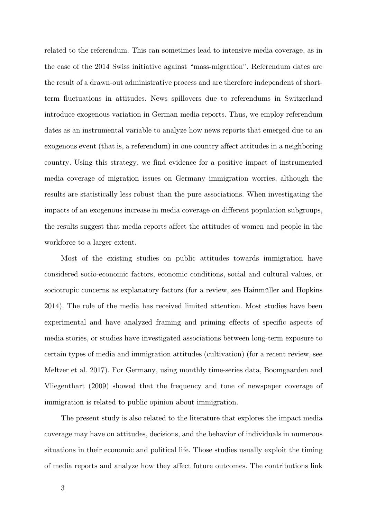related to the referendum. This can sometimes lead to intensive media coverage, as in the case of the 2014 Swiss initiative against "mass-migration". Referendum dates are the result of a drawn-out administrative process and are therefore independent of shortterm fluctuations in attitudes. News spillovers due to referendums in Switzerland introduce exogenous variation in German media reports. Thus, we employ referendum dates as an instrumental variable to analyze how news reports that emerged due to an exogenous event (that is, a referendum) in one country affect attitudes in a neighboring country. Using this strategy, we find evidence for a positive impact of instrumented media coverage of migration issues on Germany immigration worries, although the results are statistically less robust than the pure associations. When investigating the impacts of an exogenous increase in media coverage on different population subgroups, the results suggest that media reports affect the attitudes of women and people in the workforce to a larger extent.

Most of the existing studies on public attitudes towards immigration have considered socio-economic factors, economic conditions, social and cultural values, or sociotropic concerns as explanatory factors (for a review, see Hainmüller and Hopkins 2014). The role of the media has received limited attention. Most studies have been experimental and have analyzed framing and priming effects of specific aspects of media stories, or studies have investigated associations between long-term exposure to certain types of media and immigration attitudes (cultivation) (for a recent review, see Meltzer et al. 2017). For Germany, using monthly time-series data, Boomgaarden and Vliegenthart (2009) showed that the frequency and tone of newspaper coverage of immigration is related to public opinion about immigration.

The present study is also related to the literature that explores the impact media coverage may have on attitudes, decisions, and the behavior of individuals in numerous situations in their economic and political life. Those studies usually exploit the timing of media reports and analyze how they affect future outcomes. The contributions link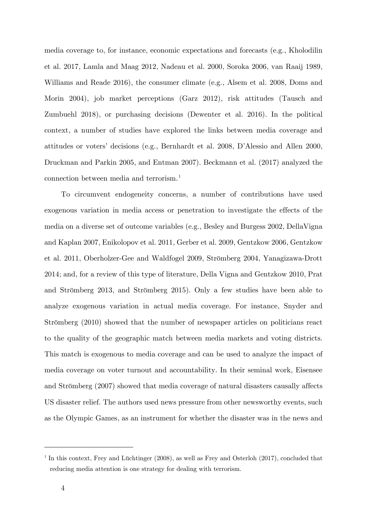media coverage to, for instance, economic expectations and forecasts (e.g., Kholodilin et al. 2017, Lamla and Maag 2012, Nadeau et al. 2000, Soroka 2006, van Raaij 1989, Williams and Reade 2016), the consumer climate (e.g., Alsem et al. 2008, Doms and Morin 2004), job market perceptions (Garz 2012), risk attitudes (Tausch and Zumbuehl 2018), or purchasing decisions (Dewenter et al. 2016). In the political context, a number of studies have explored the links between media coverage and attitudes or voters' decisions (e.g., Bernhardt et al. 2008, D'Alessio and Allen 2000, Druckman and Parkin 2005, and Entman 2007). Beckmann et al. (2017) analyzed the connection between media and terrorism.<sup>1</sup>

To circumvent endogeneity concerns, a number of contributions have used exogenous variation in media access or penetration to investigate the effects of the media on a diverse set of outcome variables (e.g., Besley and Burgess 2002, DellaVigna and Kaplan 2007, Enikolopov et al. 2011, Gerber et al. 2009, Gentzkow 2006, Gentzkow et al. 2011, Oberholzer-Gee and Waldfogel 2009, Strömberg 2004, Yanagizawa-Drott 2014; and, for a review of this type of literature, Della Vigna and Gentzkow 2010, Prat and Strömberg 2013, and Strömberg 2015). Only a few studies have been able to analyze exogenous variation in actual media coverage. For instance, Snyder and Strömberg (2010) showed that the number of newspaper articles on politicians react to the quality of the geographic match between media markets and voting districts. This match is exogenous to media coverage and can be used to analyze the impact of media coverage on voter turnout and accountability. In their seminal work, Eisensee and Strömberg (2007) showed that media coverage of natural disasters causally affects US disaster relief. The authors used news pressure from other newsworthy events, such as the Olympic Games, as an instrument for whether the disaster was in the news and

-

<sup>&</sup>lt;sup>1</sup> In this context, Frey and Lüchtinger (2008), as well as Frey and Osterloh (2017), concluded that reducing media attention is one strategy for dealing with terrorism.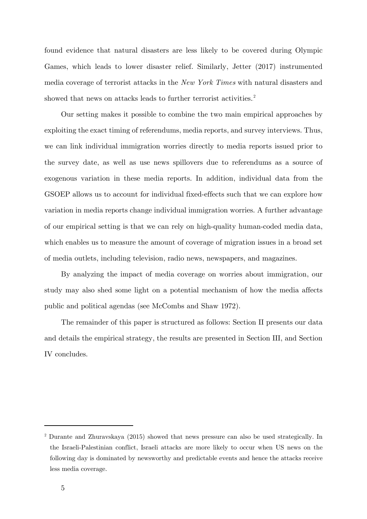found evidence that natural disasters are less likely to be covered during Olympic Games, which leads to lower disaster relief. Similarly, Jetter (2017) instrumented media coverage of terrorist attacks in the *New York Times* with natural disasters and showed that news on attacks leads to further terrorist activities.<sup>2</sup>

Our setting makes it possible to combine the two main empirical approaches by exploiting the exact timing of referendums, media reports, and survey interviews. Thus, we can link individual immigration worries directly to media reports issued prior to the survey date, as well as use news spillovers due to referendums as a source of exogenous variation in these media reports. In addition, individual data from the GSOEP allows us to account for individual fixed-effects such that we can explore how variation in media reports change individual immigration worries. A further advantage of our empirical setting is that we can rely on high-quality human-coded media data, which enables us to measure the amount of coverage of migration issues in a broad set of media outlets, including television, radio news, newspapers, and magazines.

By analyzing the impact of media coverage on worries about immigration, our study may also shed some light on a potential mechanism of how the media affects public and political agendas (see McCombs and Shaw 1972).

The remainder of this paper is structured as follows: Section II presents our data and details the empirical strategy, the results are presented in Section III, and Section IV concludes.

-

<sup>2</sup> Durante and Zhuravskaya (2015) showed that news pressure can also be used strategically. In the Israeli-Palestinian conflict, Israeli attacks are more likely to occur when US news on the following day is dominated by newsworthy and predictable events and hence the attacks receive less media coverage.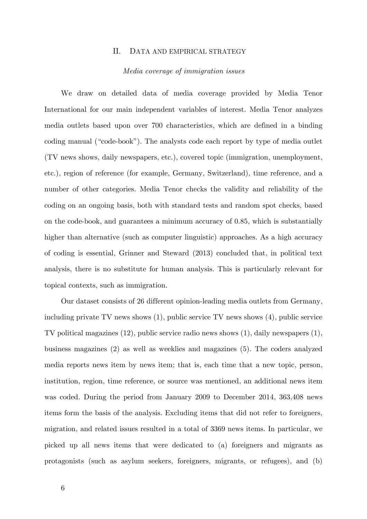#### II. DATA AND EMPIRICAL STRATEGY

# *Media coverage of immigration issues*

We draw on detailed data of media coverage provided by Media Tenor International for our main independent variables of interest. Media Tenor analyzes media outlets based upon over 700 characteristics, which are defined in a binding coding manual ("code-book"). The analysts code each report by type of media outlet (TV news shows, daily newspapers, etc.), covered topic (immigration, unemployment, etc.), region of reference (for example, Germany, Switzerland), time reference, and a number of other categories. Media Tenor checks the validity and reliability of the coding on an ongoing basis, both with standard tests and random spot checks, based on the code-book, and guarantees a minimum accuracy of 0.85, which is substantially higher than alternative (such as computer linguistic) approaches. As a high accuracy of coding is essential, Grinner and Steward (2013) concluded that, in political text analysis, there is no substitute for human analysis. This is particularly relevant for topical contexts, such as immigration.

Our dataset consists of 26 different opinion-leading media outlets from Germany, including private TV news shows (1), public service TV news shows (4), public service TV political magazines (12), public service radio news shows (1), daily newspapers (1), business magazines (2) as well as weeklies and magazines (5). The coders analyzed media reports news item by news item; that is, each time that a new topic, person, institution, region, time reference, or source was mentioned, an additional news item was coded. During the period from January 2009 to December 2014, 363,408 news items form the basis of the analysis. Excluding items that did not refer to foreigners, migration, and related issues resulted in a total of 3369 news items. In particular, we picked up all news items that were dedicated to (a) foreigners and migrants as protagonists (such as asylum seekers, foreigners, migrants, or refugees), and (b)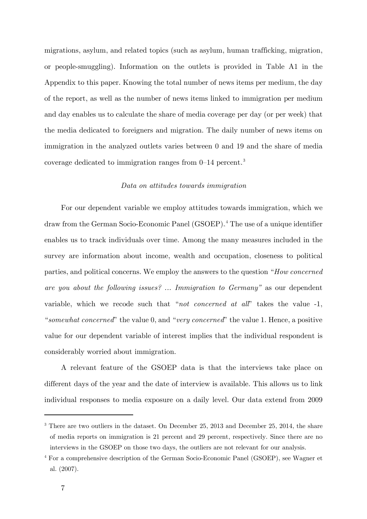migrations, asylum, and related topics (such as asylum, human trafficking, migration, or people-smuggling). Information on the outlets is provided in Table A1 in the Appendix to this paper. Knowing the total number of news items per medium, the day of the report, as well as the number of news items linked to immigration per medium and day enables us to calculate the share of media coverage per day (or per week) that the media dedicated to foreigners and migration. The daily number of news items on immigration in the analyzed outlets varies between 0 and 19 and the share of media coverage dedicated to immigration ranges from  $0-14$  percent.<sup>3</sup>

#### *Data on attitudes towards immigration*

For our dependent variable we employ attitudes towards immigration, which we draw from the German Socio-Economic Panel (GSOEP).<sup>4</sup> The use of a unique identifier enables us to track individuals over time. Among the many measures included in the survey are information about income, wealth and occupation, closeness to political parties, and political concerns. We employ the answers to the question "*How concerned are you about the following issues? ... Immigration to Germany"* as our dependent variable, which we recode such that "*not concerned at all*" takes the value -1, "*somewhat concerned*" the value 0, and "*very concerned*" the value 1. Hence, a positive value for our dependent variable of interest implies that the individual respondent is considerably worried about immigration.

A relevant feature of the GSOEP data is that the interviews take place on different days of the year and the date of interview is available. This allows us to link individual responses to media exposure on a daily level. Our data extend from 2009

1

<sup>&</sup>lt;sup>3</sup> There are two outliers in the dataset. On December 25, 2013 and December 25, 2014, the share of media reports on immigration is 21 percent and 29 percent, respectively. Since there are no interviews in the GSOEP on those two days, the outliers are not relevant for our analysis.

<sup>4</sup> For a comprehensive description of the German Socio-Economic Panel (GSOEP), see Wagner et al. (2007).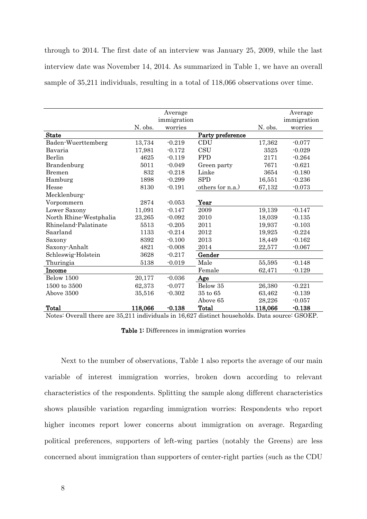through to 2014. The first date of an interview was January 25, 2009, while the last interview date was November 14, 2014. As summarized in Table 1, we have an overall sample of 35,211 individuals, resulting in a total of 118,066 observations over time.

|                        |         | Average     |                  |         | Average     |
|------------------------|---------|-------------|------------------|---------|-------------|
|                        |         | immigration |                  |         | immigration |
|                        | N. obs. | worries     |                  | N. obs. | worries     |
| <b>State</b>           |         |             | Party preference |         |             |
| Baden-Wuerttemberg     | 13,734  | $-0.219$    | CDU              | 17,362  | $-0.077$    |
| Bavaria                | 17,981  | $-0.172$    | <b>CSU</b>       | 3525    | $-0.029$    |
| Berlin                 | 4625    | $-0.119$    | <b>FPD</b>       | 2171    | $-0.264$    |
| Brandenburg            | 5011    | $-0.049$    | Green party      | 7671    | $-0.621$    |
| Bremen                 | 832     | $-0.218$    | Linke            | 3654    | $-0.180$    |
| Hamburg                | 1898    | $-0.299$    | <b>SPD</b>       | 16,551  | $-0.236$    |
| Hesse                  | 8130    | $-0.191$    | others (or n.a.) | 67,132  | $-0.073$    |
| Mecklenburg-           |         |             |                  |         |             |
| Vorpommern             | 2874    | $-0.053$    | Year             |         |             |
| Lower Saxony           | 11,091  | $-0.147$    | 2009             | 19,139  | $-0.147$    |
| North Rhine-Westphalia | 23,265  | $-0.092$    | 2010             | 18,039  | $-0.135$    |
| Rhineland-Palatinate   | 5513    | $-0.205$    | 2011             | 19,937  | $-0.103$    |
| Saarland               | 1133    | $-0.214$    | 2012             | 19,925  | $-0.224$    |
| Saxony                 | 8392    | $-0.100$    | 2013             | 18,449  | $-0.162$    |
| Saxony-Anhalt          | 4821    | $-0.008$    | 2014             | 22,577  | $-0.067$    |
| Schleswig-Holstein     | 3628    | $-0.217$    | Gender           |         |             |
| Thuringia              | 5138    | $-0.019$    | Male             | 55,595  | $-0.148$    |
| Income                 |         |             | Female           | 62,471  | $-0.129$    |
| Below 1500             | 20,177  | $-0.036$    | Age              |         |             |
| 1500 to 3500           | 62,373  | $-0.077$    | Below 35         | 26,380  | $-0.221$    |
| Above 3500             | 35,516  | $-0.302$    | $35$ to $65\,$   | 63,462  | $-0.139$    |
|                        |         |             | Above 65         | 28,226  | $-0.057$    |
| Total                  | 118,066 | $-0.138$    | Total            | 118,066 | $-0.138$    |

Notes: Overall there are 35,211 individuals in 16,627 distinct households. Data source: GSOEP.

Table 1: Differences in immigration worries

Next to the number of observations, Table 1 also reports the average of our main variable of interest immigration worries, broken down according to relevant characteristics of the respondents. Splitting the sample along different characteristics shows plausible variation regarding immigration worries: Respondents who report higher incomes report lower concerns about immigration on average. Regarding political preferences, supporters of left-wing parties (notably the Greens) are less concerned about immigration than supporters of center-right parties (such as the CDU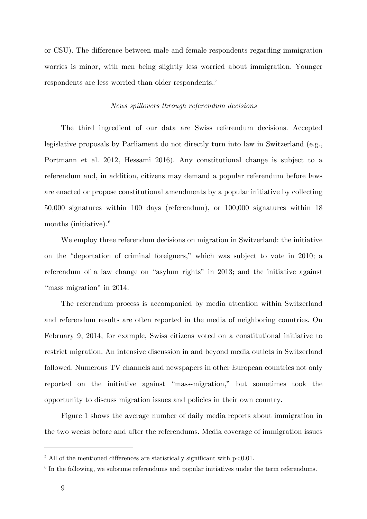or CSU). The difference between male and female respondents regarding immigration worries is minor, with men being slightly less worried about immigration. Younger respondents are less worried than older respondents.<sup>5</sup>

# *News spillovers through referendum decisions*

The third ingredient of our data are Swiss referendum decisions. Accepted legislative proposals by Parliament do not directly turn into law in Switzerland (e.g., Portmann et al. 2012, Hessami 2016). Any constitutional change is subject to a referendum and, in addition, citizens may demand a popular referendum before laws are enacted or propose constitutional amendments by a popular initiative by collecting 50,000 signatures within 100 days (referendum), or 100,000 signatures within 18 months (initiative).<sup>6</sup>

We employ three referendum decisions on migration in Switzerland: the initiative on the "deportation of criminal foreigners," which was subject to vote in 2010; a referendum of a law change on "asylum rights" in 2013; and the initiative against "mass migration" in 2014.

The referendum process is accompanied by media attention within Switzerland and referendum results are often reported in the media of neighboring countries. On February 9, 2014, for example, Swiss citizens voted on a constitutional initiative to restrict migration. An intensive discussion in and beyond media outlets in Switzerland followed. Numerous TV channels and newspapers in other European countries not only reported on the initiative against "mass-migration," but sometimes took the opportunity to discuss migration issues and policies in their own country.

Figure 1 shows the average number of daily media reports about immigration in the two weeks before and after the referendums. Media coverage of immigration issues

-

<sup>&</sup>lt;sup>5</sup> All of the mentioned differences are statistically significant with  $p<0.01$ .

 $6$  In the following, we subsume referendums and popular initiatives under the term referendums.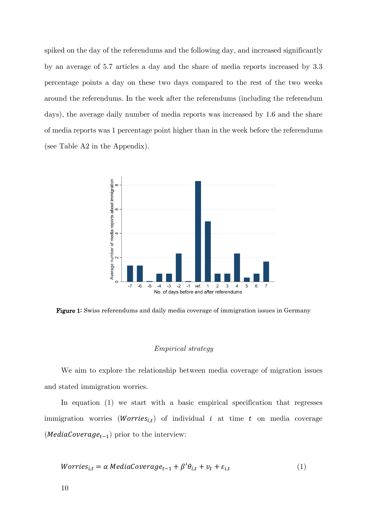spiked on the day of the referendums and the following day, and increased significantly by an average of 5.7 articles a day and the share of media reports increased by 3.3 percentage points a day on these two days compared to the rest of the two weeks around the referendums. In the week after the referendums (including the referendum days), the average daily number of media reports was increased by 1.6 and the share of media reports was 1 percentage point higher than in the week before the referendums (see Table A2 in the Appendix).



Figure 1: Swiss referendums and daily media coverage of immigration issues in Germany

#### *Empirical strategy*

We aim to explore the relationship between media coverage of migration issues and stated immigration worries.

In equation (1) we start with a basic empirical specification that regresses immigration worries (*Worries*<sub>i,t</sub>) of individual i at time t on media coverage (*MediaCoverage*<sub>t-1</sub>) prior to the interview:

*Worries<sub>i,t</sub>* = 
$$
\alpha
$$
 *MediaCoverage<sub>t-1</sub>* +  $\beta' \theta_{i,t}$  +  $v_t$  +  $\varepsilon_{i,t}$  (1)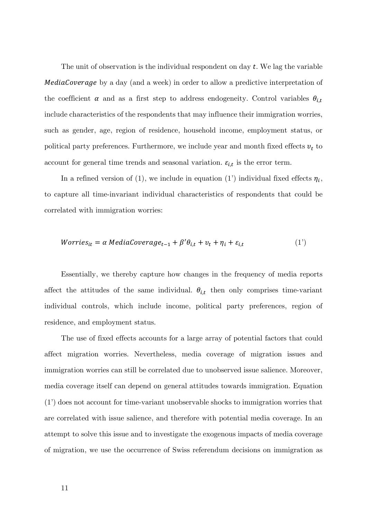The unit of observation is the individual respondent on day  $t$ . We lag the variable **MediaCoverage** by a day (and a week) in order to allow a predictive interpretation of the coefficient  $\alpha$  and as a first step to address endogeneity. Control variables  $\theta_{i,t}$ include characteristics of the respondents that may influence their immigration worries, such as gender, age, region of residence, household income, employment status, or political party preferences. Furthermore, we include year and month fixed effects  $v_t$  to account for general time trends and seasonal variation.  $\varepsilon_{i,t}$  is the error term.

In a refined version of (1), we include in equation (1') individual fixed effects  $\eta_i$ , to capture all time-invariant individual characteristics of respondents that could be correlated with immigration worries:

*Worries<sub>it</sub>* = 
$$
\alpha
$$
 *MediaCoverage<sub>t-1</sub>* +  $\beta' \theta_{i,t}$  +  $v_t$  +  $\eta_i$  +  $\varepsilon_{i,t}$  (1')

Essentially, we thereby capture how changes in the frequency of media reports affect the attitudes of the same individual.  $\theta_{i,t}$  then only comprises time-variant individual controls, which include income, political party preferences, region of residence, and employment status.

The use of fixed effects accounts for a large array of potential factors that could affect migration worries. Nevertheless, media coverage of migration issues and immigration worries can still be correlated due to unobserved issue salience. Moreover, media coverage itself can depend on general attitudes towards immigration. Equation (1') does not account for time-variant unobservable shocks to immigration worries that are correlated with issue salience, and therefore with potential media coverage. In an attempt to solve this issue and to investigate the exogenous impacts of media coverage of migration, we use the occurrence of Swiss referendum decisions on immigration as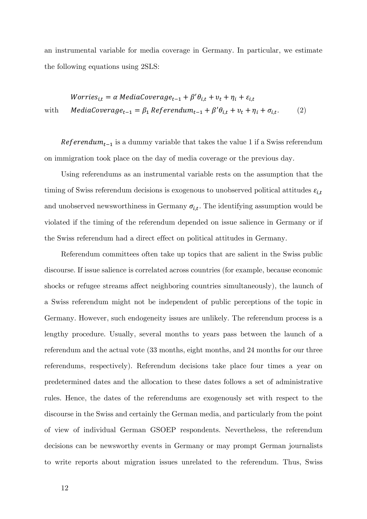an instrumental variable for media coverage in Germany. In particular, we estimate the following equations using 2SLS:

*Worries<sub>i,t</sub>* = 
$$
\alpha
$$
 *MediaCoverage<sub>t-1</sub>* +  $\beta' \theta_{i,t}$  +  $v_t$  +  $\eta_i$  +  $\varepsilon_{i,t}$   
with *MediaCoverage<sub>t-1</sub>* =  $\beta_1$  *Referendum<sub>t-1</sub>* +  $\beta' \theta_{i,t}$  +  $v_t$  +  $\eta_i$  +  $\sigma_{i,t}$ . (2)

Referendum<sub>t-1</sub> is a dummy variable that takes the value 1 if a Swiss referendum on immigration took place on the day of media coverage or the previous day.

Using referendums as an instrumental variable rests on the assumption that the timing of Swiss referendum decisions is exogenous to unobserved political attitudes  $\varepsilon_{i,t}$ and unobserved newsworthiness in Germany  $\sigma_{i,t}$ . The identifying assumption would be violated if the timing of the referendum depended on issue salience in Germany or if the Swiss referendum had a direct effect on political attitudes in Germany.

Referendum committees often take up topics that are salient in the Swiss public discourse. If issue salience is correlated across countries (for example, because economic shocks or refugee streams affect neighboring countries simultaneously), the launch of a Swiss referendum might not be independent of public perceptions of the topic in Germany. However, such endogeneity issues are unlikely. The referendum process is a lengthy procedure. Usually, several months to years pass between the launch of a referendum and the actual vote (33 months, eight months, and 24 months for our three referendums, respectively). Referendum decisions take place four times a year on predetermined dates and the allocation to these dates follows a set of administrative rules. Hence, the dates of the referendums are exogenously set with respect to the discourse in the Swiss and certainly the German media, and particularly from the point of view of individual German GSOEP respondents. Nevertheless, the referendum decisions can be newsworthy events in Germany or may prompt German journalists to write reports about migration issues unrelated to the referendum. Thus, Swiss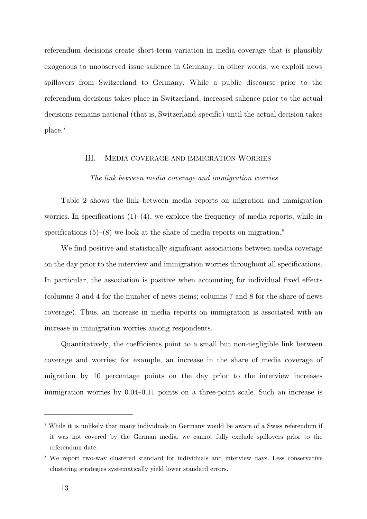referendum decisions create short-term variation in media coverage that is plausibly exogenous to unobserved issue salience in Germany. In other words, we exploit news spillovers from Switzerland to Germany. While a public discourse prior to the referendum decisions takes place in Switzerland, increased salience prior to the actual decisions remains national (that is, Switzerland-specific) until the actual decision takes  $place.<sup>7</sup>$ 

#### III. MEDIA COVERAGE AND IMMIGRATION WORRIES

#### *The link between media coverage and immigration worries*

Table 2 shows the link between media reports on migration and immigration worries. In specifications  $(1)-(4)$ , we explore the frequency of media reports, while in specifications  $(5)-(8)$  we look at the share of media reports on migration.<sup>8</sup>

We find positive and statistically significant associations between media coverage on the day prior to the interview and immigration worries throughout all specifications. In particular, the association is positive when accounting for individual fixed effects (columns 3 and 4 for the number of news items; columns 7 and 8 for the share of news coverage). Thus, an increase in media reports on immigration is associated with an increase in immigration worries among respondents.

Quantitatively, the coefficients point to a small but non-negligible link between coverage and worries; for example, an increase in the share of media coverage of migration by 10 percentage points on the day prior to the interview increases immigration worries by 0.04–0.11 points on a three-point scale. Such an increase is

1

<sup>7</sup> While it is unlikely that many individuals in Germany would be aware of a Swiss referendum if it was not covered by the German media, we cannot fully exclude spillovers prior to the referendum date.

<sup>&</sup>lt;sup>8</sup> We report two-way clustered standard for individuals and interview days. Less conservative clustering strategies systematically yield lower standard errors.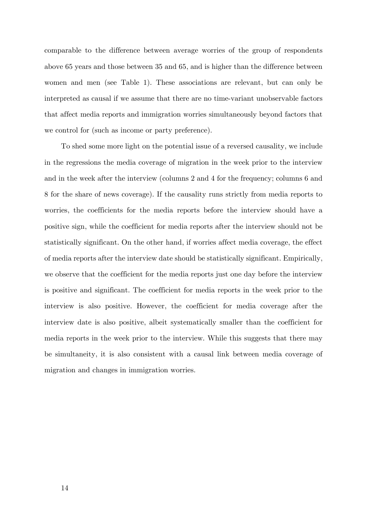comparable to the difference between average worries of the group of respondents above 65 years and those between 35 and 65, and is higher than the difference between women and men (see Table 1). These associations are relevant, but can only be interpreted as causal if we assume that there are no time-variant unobservable factors that affect media reports and immigration worries simultaneously beyond factors that we control for (such as income or party preference).

To shed some more light on the potential issue of a reversed causality, we include in the regressions the media coverage of migration in the week prior to the interview and in the week after the interview (columns 2 and 4 for the frequency; columns 6 and 8 for the share of news coverage). If the causality runs strictly from media reports to worries, the coefficients for the media reports before the interview should have a positive sign, while the coefficient for media reports after the interview should not be statistically significant. On the other hand, if worries affect media coverage, the effect of media reports after the interview date should be statistically significant. Empirically, we observe that the coefficient for the media reports just one day before the interview is positive and significant. The coefficient for media reports in the week prior to the interview is also positive. However, the coefficient for media coverage after the interview date is also positive, albeit systematically smaller than the coefficient for media reports in the week prior to the interview. While this suggests that there may be simultaneity, it is also consistent with a causal link between media coverage of migration and changes in immigration worries.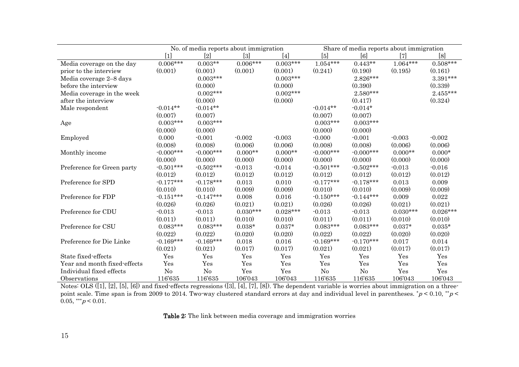|                              | No. of media reports about immigration                                                                                                                                                                                                                                                                                              |                |            | Share of media reports about immigration |                |             |            |            |
|------------------------------|-------------------------------------------------------------------------------------------------------------------------------------------------------------------------------------------------------------------------------------------------------------------------------------------------------------------------------------|----------------|------------|------------------------------------------|----------------|-------------|------------|------------|
|                              | $[1] % \includegraphics[width=0.9\columnwidth]{figures/fig_10.pdf} \caption{The graph $\mathcal{N}_1$ is a function of the number of~\textit{N}_1$ (left) and the number of~\textit{N}_2$ (right) are shown in \cite{N}_1$ (right) and the number of~\textit{N}_1$ (right) and the number of~\textit{N}_2$ (right).} \label{fig:1}$ | $[2]$          | $[3]$      | $[4]$                                    | [5]            | [6]         | $[7]$      | [8]        |
| Media coverage on the day    | $0.006***$                                                                                                                                                                                                                                                                                                                          | $0.003**$      | $0.006***$ | $0.003***$                               | $1.054***$     | $0.443**$   | $1.064***$ | $0.508***$ |
| prior to the interview       | (0.001)                                                                                                                                                                                                                                                                                                                             | (0.001)        | (0.001)    | (0.001)                                  | (0.241)        | (0.190)     | (0.195)    | (0.161)    |
| Media coverage 2-8 days      |                                                                                                                                                                                                                                                                                                                                     | $0.003***$     |            | $0.003***$                               |                | $2.826***$  |            | $3.391***$ |
| before the interview         |                                                                                                                                                                                                                                                                                                                                     | (0.000)        |            | (0.000)                                  |                | (0.390)     |            | (0.339)    |
| Media coverage in the week   |                                                                                                                                                                                                                                                                                                                                     | $0.002***$     |            | $0.002***$                               |                | $2.580***$  |            | $2.455***$ |
| after the interview          |                                                                                                                                                                                                                                                                                                                                     | (0.000)        |            | (0.000)                                  |                | (0.417)     |            | (0.324)    |
| Male respondent              | $-0.014**$                                                                                                                                                                                                                                                                                                                          | $-0.014**$     |            |                                          | $-0.014**$     | $-0.014*$   |            |            |
|                              | (0.007)                                                                                                                                                                                                                                                                                                                             | (0.007)        |            |                                          | (0.007)        | (0.007)     |            |            |
| Age                          | $0.003***$                                                                                                                                                                                                                                                                                                                          | $0.003***$     |            |                                          | $0.003***$     | $0.003***$  |            |            |
|                              | (0.000)                                                                                                                                                                                                                                                                                                                             | (0.000)        |            |                                          | (0.000)        | (0.000)     |            |            |
| Employed                     | 0.000                                                                                                                                                                                                                                                                                                                               | $-0.001$       | $-0.002$   | $-0.003$                                 | $-0.000$       | $-0.001$    | $-0.003$   | $-0.002$   |
|                              | (0.008)                                                                                                                                                                                                                                                                                                                             | (0.008)        | (0.006)    | (0.006)                                  | (0.008)        | (0.008)     | (0.006)    | (0.006)    |
| Monthly income               | $-0.000***$                                                                                                                                                                                                                                                                                                                         | $-0.000***$    | $0.000**$  | $0.000**$                                | $-0.000***$    | $-0.000***$ | $0.000**$  | $0.000*$   |
|                              | (0.000)                                                                                                                                                                                                                                                                                                                             | (0.000)        | (0.000)    | (0.000)                                  | (0.000)        | (0.000)     | (0.000)    | (0.000)    |
| Preference for Green party   | $-0.501***$                                                                                                                                                                                                                                                                                                                         | $-0.502***$    | $-0.013$   | $-0.014$                                 | $-0.501***$    | $-0.502***$ | $-0.013$   | $-0.016$   |
|                              | (0.012)                                                                                                                                                                                                                                                                                                                             | (0.012)        | (0.012)    | (0.012)                                  | (0.012)        | (0.012)     | (0.012)    | (0.012)    |
| Preference for SPD           | $-0.177***$                                                                                                                                                                                                                                                                                                                         | $-0.178***$    | 0.013      | 0.010                                    | $-0.177***$    | $-0.178***$ | 0.013      | 0.009      |
|                              | (0.010)                                                                                                                                                                                                                                                                                                                             | (0.010)        | (0.009)    | (0.009)                                  | (0.010)        | (0.010)     | (0.009)    | (0.009)    |
| Preference for FDP           | $-0.151***$                                                                                                                                                                                                                                                                                                                         | $-0.147***$    | 0.008      | 0.016                                    | $-0.150***$    | $-0.144***$ | 0.009      | 0.022      |
|                              | (0.026)                                                                                                                                                                                                                                                                                                                             | (0.026)        | (0.021)    | (0.021)                                  | (0.026)        | (0.026)     | (0.021)    | (0.021)    |
| Preference for CDU           | $-0.013$                                                                                                                                                                                                                                                                                                                            | $-0.013$       | $0.030***$ | $0.028***$                               | $-0.013$       | $-0.013$    | $0.030***$ | $0.026***$ |
|                              | (0.011)                                                                                                                                                                                                                                                                                                                             | (0.011)        | (0.010)    | (0.010)                                  | (0.011)        | (0.011)     | (0.010)    | (0.010)    |
| Preference for CSU           | $0.083***$                                                                                                                                                                                                                                                                                                                          | $0.083***$     | $0.038*$   | $0.037*$                                 | $0.083***$     | $0.083***$  | $0.037*$   | $0.035*$   |
|                              | (0.022)                                                                                                                                                                                                                                                                                                                             | (0.022)        | (0.020)    | (0.020)                                  | (0.022)        | (0.022)     | (0.020)    | (0.020)    |
| Preference for Die Linke     | $-0.169***$                                                                                                                                                                                                                                                                                                                         | $-0.169***$    | 0.018      | 0.016                                    | $-0.169***$    | $-0.170***$ | 0.017      | 0.014      |
|                              | (0.021)                                                                                                                                                                                                                                                                                                                             | (0.021)        | (0.017)    | (0.017)                                  | (0.021)        | (0.021)     | (0.017)    | (0.017)    |
| State fixed effects          | Yes                                                                                                                                                                                                                                                                                                                                 | Yes            | Yes        | Yes                                      | Yes            | Yes         | Yes        | Yes        |
| Year and month fixed-effects | Yes                                                                                                                                                                                                                                                                                                                                 | Yes            | Yes        | Yes                                      | Yes            | Yes         | Yes        | Yes        |
| Individual fixed effects     | N <sub>o</sub>                                                                                                                                                                                                                                                                                                                      | N <sub>o</sub> | Yes        | Yes                                      | N <sub>o</sub> | No          | Yes        | Yes        |
| Observations                 | 116'635                                                                                                                                                                                                                                                                                                                             | 116'635        | 106'043    | 106'043                                  | 116'635        | 116'635     | 106'043    | 106'043    |

Notes: OLS ([1], [2], [5], [6]) and fixed-effects regressions ([3], [4], [7], [8]). The dependent variable is worries about immigration on a threepoint scale. Time span is from 2009 to 2014. Two-way clustered standard errors at day and individual level in parentheses.  $^*p$  < 0.10,  $^*p$  <  $0.05$ , \*\*\* $p < 0.01$ .

Table 2: The link between media coverage and immigration worries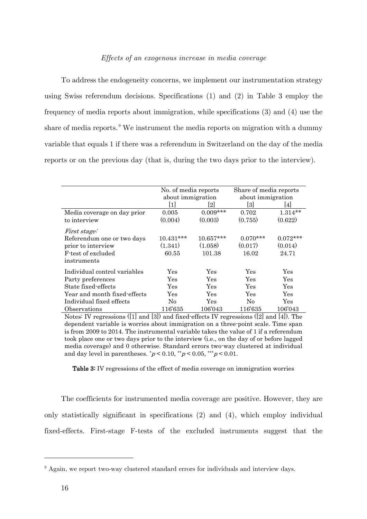To address the endogeneity concerns, we implement our instrumentation strategy using Swiss referendum decisions. Specifications (1) and (2) in Table 3 employ the frequency of media reports about immigration, while specifications (3) and (4) use the share of media reports.<sup>9</sup> We instrument the media reports on migration with a dummy variable that equals 1 if there was a referendum in Switzerland on the day of the media reports or on the previous day (that is, during the two days prior to the interview).

|                              | No. of media reports |             | Share of media reports<br>about immigration |            |
|------------------------------|----------------------|-------------|---------------------------------------------|------------|
|                              | about immigration    |             |                                             |            |
|                              | 1                    | 2           | [3]                                         | 14 I       |
| Media coverage on day prior  | 0.005                | $0.009***$  | 0.702                                       | $1.314**$  |
| to interview                 | (0.004)              | (0.003)     | (0.755)                                     | (0.622)    |
| <i>First stage:</i>          |                      |             |                                             |            |
| Referendum one or two days   | $10.431***$          | $10.657***$ | $0.070***$                                  | $0.072***$ |
| prior to interview           | (1.341)              | (1.058)     | (0.017)                                     | (0.014)    |
| F-test of excluded           | 60.55                | 101.38      | 16.02                                       | 24.71      |
| instruments                  |                      |             |                                             |            |
| Individual control variables | Yes                  | Yes         | Yes                                         | Yes        |
| Party preferences            | Yes                  | Yes         | Yes                                         | Yes        |
| State fixed-effects          | Yes                  | Yes         | Yes                                         | Yes        |
| Year and month fixed-effects | Yes                  | Yes         | Yes                                         | Yes        |
| Individual fixed effects     | N <sub>0</sub>       | Yes         | N <sub>0</sub>                              | Yes        |
| Observations                 | 116'635              | 106'043     | 116'635                                     | 106'043    |

Notes: IV regressions ([1] and [3]) and fixed-effects IV regressions ([2] and [4]). The dependent variable is worries about immigration on a three-point scale. Time span is from 2009 to 2014. The instrumental variable takes the value of 1 if a referendum took place one or two days prior to the interview (i.e., on the day of or before lagged media coverage) and 0 otherwise. Standard errors two-way clustered at individual and day level in parentheses.  $p < 0.10$ ,  $\sqrt[k]{p} < 0.05$ ,  $\sqrt[k]{p} < 0.01$ .

Table 3: IV regressions of the effect of media coverage on immigration worries

The coefficients for instrumented media coverage are positive. However, they are only statistically significant in specifications (2) and (4), which employ individual fixed-effects. First-stage F-tests of the excluded instruments suggest that the

1

 $9$  Again, we report two-way clustered standard errors for individuals and interview days.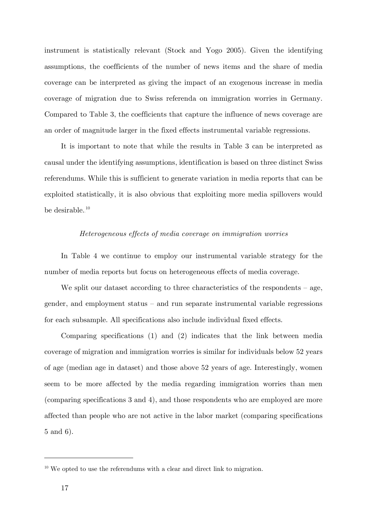instrument is statistically relevant (Stock and Yogo 2005). Given the identifying assumptions, the coefficients of the number of news items and the share of media coverage can be interpreted as giving the impact of an exogenous increase in media coverage of migration due to Swiss referenda on immigration worries in Germany. Compared to Table 3, the coefficients that capture the influence of news coverage are an order of magnitude larger in the fixed effects instrumental variable regressions.

It is important to note that while the results in Table 3 can be interpreted as causal under the identifying assumptions, identification is based on three distinct Swiss referendums. While this is sufficient to generate variation in media reports that can be exploited statistically, it is also obvious that exploiting more media spillovers would be desirable.<sup>10</sup>

# *Heterogeneous effects of media coverage on immigration worries*

In Table 4 we continue to employ our instrumental variable strategy for the number of media reports but focus on heterogeneous effects of media coverage.

We split our dataset according to three characteristics of the respondents  $-$  age, gender, and employment status – and run separate instrumental variable regressions for each subsample. All specifications also include individual fixed effects.

Comparing specifications (1) and (2) indicates that the link between media coverage of migration and immigration worries is similar for individuals below 52 years of age (median age in dataset) and those above 52 years of age. Interestingly, women seem to be more affected by the media regarding immigration worries than men (comparing specifications 3 and 4), and those respondents who are employed are more affected than people who are not active in the labor market (comparing specifications 5 and 6).

1

 $10$  We opted to use the referendums with a clear and direct link to migration.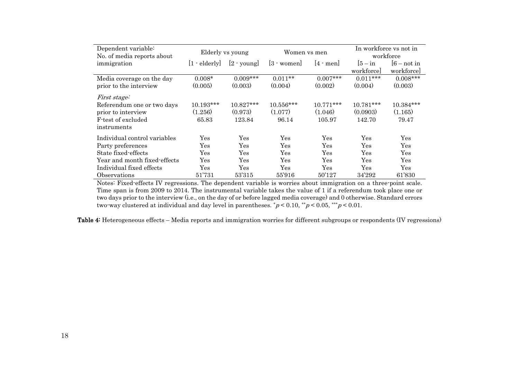| Dependent variable:<br>No. of media reports about | Elderly vs young       |               | Women vs men             |                    | In workforce vs not in<br>workforce |                |
|---------------------------------------------------|------------------------|---------------|--------------------------|--------------------|-------------------------------------|----------------|
| immigration                                       | $[1 - \text{elderly}]$ | $[2 - young]$ | $[3 \cdot \text{woman}]$ | $ 4 \cdot$ men $ $ | $ 5 - in$                           | $[6 - not in]$ |
|                                                   |                        |               |                          |                    | workforce                           | workforce      |
| Media coverage on the day                         | $0.008*$               | $0.009***$    | $0.011**$                | $0.007***$         | $0.011***$                          | $0.008***$     |
| prior to the interview                            | (0.005)                | (0.003)       | (0.004)                  | (0.002)            | (0.004)                             | (0.003)        |
| <i>First stage:</i>                               |                        |               |                          |                    |                                     |                |
| Referendum one or two days                        | 10.193***              | $10.827***$   | 10.556***                | $10.771***$        | $10.781***$                         | 10.384***      |
| prior to interview                                | (1.256)                | (0.973)       | (1.077)                  | (1.046)            | (0.0903)                            | (1.165)        |
| F-test of excluded                                | 65.83                  | 123.84        | 96.14                    | 105.97             | 142.70                              | 79.47          |
| instruments                                       |                        |               |                          |                    |                                     |                |
| Individual control variables                      | Yes                    | Yes           | Yes                      | Yes                | Yes                                 | Yes            |
| Party preferences                                 | Yes                    | Yes           | Yes                      | Yes                | Yes                                 | Yes            |
| State fixed-effects                               | Yes                    | Yes           | Yes                      | Yes                | Yes                                 | Yes            |
| Year and month fixed-effects                      | Yes                    | Yes           | Yes                      | Yes                | Yes                                 | Yes            |
| Individual fixed effects                          | Yes                    | Yes           | Yes                      | Yes                | Yes                                 | Yes            |
| Observations                                      | 51'731                 | 53'315        | 55'916                   | 50'127             | 34'292                              | 61'830         |

Notes: Fixed-effects IV regressions. The dependent variable is worries about immigration on a three-point scale. Time span is from 2009 to 2014. The instrumental variable takes the value of 1 if a referendum took place one or two days prior to the interview (i.e., on the day of or before lagged media coverage) and 0 otherwise. Standard errors two-way clustered at individual and day level in parentheses.  $p < 0.10$ ,  $\sqrt[k]{p} < 0.05$ ,  $\sqrt[k]{p} < 0.01$ .

Table 4: Heterogeneous effects – Media reports and immigration worries for different subgroups or respondents (IV regressions)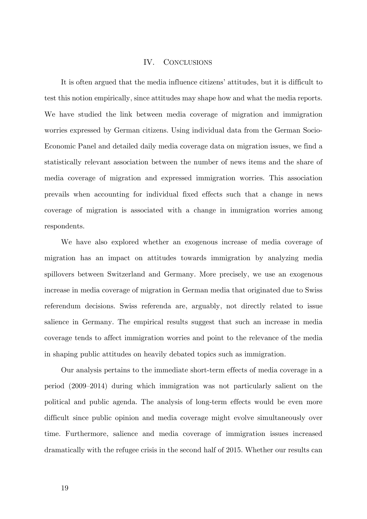#### IV. CONCLUSIONS

It is often argued that the media influence citizens' attitudes, but it is difficult to test this notion empirically, since attitudes may shape how and what the media reports. We have studied the link between media coverage of migration and immigration worries expressed by German citizens. Using individual data from the German Socio-Economic Panel and detailed daily media coverage data on migration issues, we find a statistically relevant association between the number of news items and the share of media coverage of migration and expressed immigration worries. This association prevails when accounting for individual fixed effects such that a change in news coverage of migration is associated with a change in immigration worries among respondents.

We have also explored whether an exogenous increase of media coverage of migration has an impact on attitudes towards immigration by analyzing media spillovers between Switzerland and Germany. More precisely, we use an exogenous increase in media coverage of migration in German media that originated due to Swiss referendum decisions. Swiss referenda are, arguably, not directly related to issue salience in Germany. The empirical results suggest that such an increase in media coverage tends to affect immigration worries and point to the relevance of the media in shaping public attitudes on heavily debated topics such as immigration.

Our analysis pertains to the immediate short-term effects of media coverage in a period (2009–2014) during which immigration was not particularly salient on the political and public agenda. The analysis of long-term effects would be even more difficult since public opinion and media coverage might evolve simultaneously over time. Furthermore, salience and media coverage of immigration issues increased dramatically with the refugee crisis in the second half of 2015. Whether our results can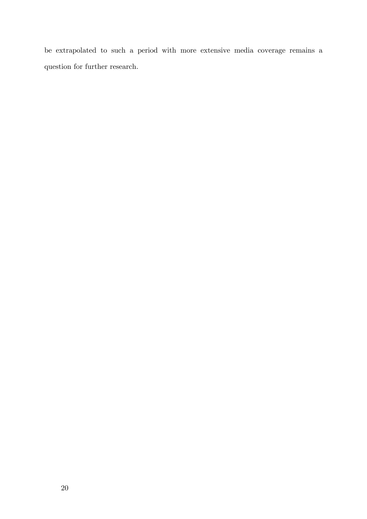be extrapolated to such a period with more extensive media coverage remains a question for further research.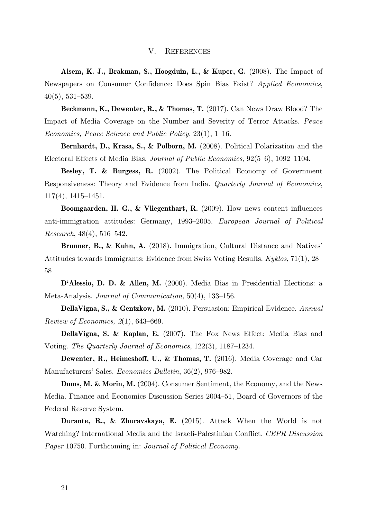#### V. REFERENCES

**Alsem, K. J., Brakman, S., Hoogduin, L., & Kuper, G.** (2008). The Impact of Newspapers on Consumer Confidence: Does Spin Bias Exist? *Applied Economics*, 40(5), 531–539.

**Beckmann, K., Dewenter, R., & Thomas, T.** (2017). Can News Draw Blood? The Impact of Media Coverage on the Number and Severity of Terror Attacks. *Peace Economics, Peace Science and Public Policy*, 23(1), 1–16.

**Bernhardt, D., Krasa, S., & Polborn, M.** (2008). Political Polarization and the Electoral Effects of Media Bias. *Journal of Public Economics*, 92(5–6), 1092–1104.

**Besley, T. & Burgess, R.** (2002). The Political Economy of Government Responsiveness: Theory and Evidence from India. *Quarterly Journal of Economics*, 117(4), 1415–1451.

**Boomgaarden, H. G., & Vliegenthart, R.** (2009). How news content influences anti‐immigration attitudes: Germany, 1993–2005. *European Journal of Political Research*, 48(4), 516–542.

**Brunner, B., & Kuhn, A.** (2018). Immigration, Cultural Distance and Natives' Attitudes towards Immigrants: Evidence from Swiss Voting Results. *Kyklos*, 71(1), 28– 58

**D'Alessio, D. D. & Allen, M.** (2000). Media Bias in Presidential Elections: a Meta-Analysis. *Journal of Communication*, 50(4), 133–156.

**DellaVigna, S., & Gentzkow, M.** (2010). Persuasion: Empirical Evidence. *Annual Review of Economics, 2*(1), 643–669.

**DellaVigna, S. & Kaplan, E.** (2007). The Fox News Effect: Media Bias and Voting. *The Quarterly Journal of Economics*, 122(3), 1187–1234.

**Dewenter, R., Heimeshoff, U., & Thomas, T.** (2016). Media Coverage and Car Manufacturers' Sales. *Economics Bulletin*, 36(2), 976–982.

**Doms, M. & Morin, M.** (2004). Consumer Sentiment, the Economy, and the News Media. Finance and Economics Discussion Series 2004–51, Board of Governors of the Federal Reserve System.

**Durante, R., & Zhuravskaya, E.** (2015). Attack When the World is not Watching? International Media and the Israeli-Palestinian Conflict. *CEPR Discussion Paper* 10750. Forthcoming in: *Journal of Political Economy.*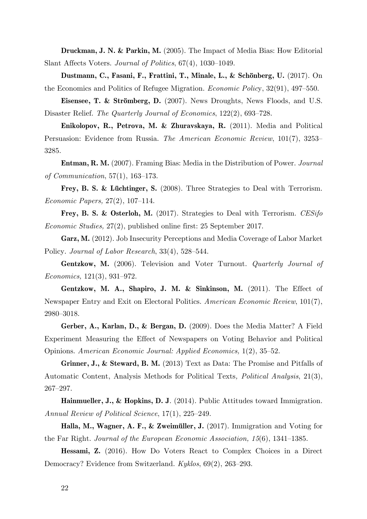**Druckman, J. N. & Parkin, M.** (2005). The Impact of Media Bias: How Editorial Slant Affects Voters. *Journal of Politics*, 67(4), 1030–1049.

**Dustmann, C., Fasani, F., Frattini, T., Minale, L., & Schönberg, U.** (2017). On the Economics and Politics of Refugee Migration. *Economic Polic*y, 32(91), 497–550.

**Eisensee, T. & Strömberg, D.** (2007). News Droughts, News Floods, and U.S. Disaster Relief. *The Quarterly Journal of Economics*, 122(2), 693–728.

**Enikolopov, R., Petrova, M. & Zhuravskaya, R.** (2011). Media and Political Persuasion: Evidence from Russia. *The American Economic Review*, 101(7), 3253– 3285.

**Entman, R. M.** (2007). Framing Bias: Media in the Distribution of Power. *Journal of Communication*, 57(1), 163–173.

**Frey, B. S. & Lüchtinger, S.** (2008). Three Strategies to Deal with Terrorism. *Economic Papers,* 27(2), 107–114.

**Frey, B. S. & Osterloh, M.** (2017). Strategies to Deal with Terrorism. *CESifo Economic Studies,* 27(2), published online first: 25 September 2017.

**Garz, M.** (2012). Job Insecurity Perceptions and Media Coverage of Labor Market Policy. *Journal of Labor Research*, 33(4), 528–544.

**Gentzkow, M.** (2006). Television and Voter Turnout. *Quarterly Journal of Economics,* 121(3), 931–972.

**Gentzkow, M. A., Shapiro, J. M. & Sinkinson, M.** (2011). The Effect of Newspaper Entry and Exit on Electoral Politics. *American Economic Review*, 101(7), 2980–3018.

**Gerber, A., Karlan, D., & Bergan, D.** (2009). Does the Media Matter? A Field Experiment Measuring the Effect of Newspapers on Voting Behavior and Political Opinions. *American Economic Journal: Applied Economics,* 1(2), 35–52.

**Grinner, J., & Steward, B. M.** (2013) Text as Data: The Promise and Pitfalls of Automatic Content, Analysis Methods for Political Texts*, Political Analysis*, 21(3), 267–297.

**Hainmueller, J., & Hopkins, D. J**. (2014). Public Attitudes toward Immigration. *Annual Review of Political Science*, 17(1), 225–249.

**Halla, M., Wagner, A. F., & Zweimüller, J.** (2017). Immigration and Voting for the Far Right. *Journal of the European Economic Association, 15*(6), 1341–1385.

**Hessami, Z.** (2016). How Do Voters React to Complex Choices in a Direct Democracy? Evidence from Switzerland. *Kyklos*, 69(2), 263–293.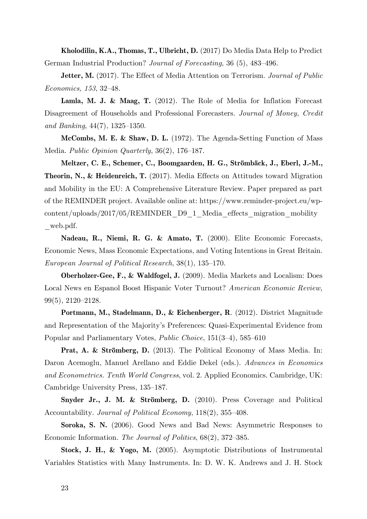**Kholodilin, K.A., Thomas, T., Ulbricht, D.** (2017) Do Media Data Help to Predict German Industrial Production? *Journal of Forecasting,* 36 (5), 483–496.

**Jetter, M.** (2017). The Effect of Media Attention on Terrorism. *Journal of Public Economics, 153*, 32–48.

**Lamla, M. J. & Maag, T.** (2012). The Role of Media for Inflation Forecast Disagreement of Households and Professional Forecasters. *Journal of Money, Credit and Banking*, 44(7), 1325–1350.

**McCombs, M. E. & Shaw, D. L.** (1972). The Agenda-Setting Function of Mass Media. *Public Opinion Quarterly*, 36(2), 176–187.

**Meltzer, C. E., Schemer, C., Boomgaarden, H. G., Strömbäck, J., Eberl, J.-M., Theorin, N., & Heidenreich, T.** (2017). Media Effects on Attitudes toward Migration and Mobility in the EU: A Comprehensive Literature Review. Paper prepared as part of the REMINDER project. Available online at: https://www.reminder-project.eu/wpcontent/uploads/2017/05/REMINDER\_D9\_1\_Media\_effects\_migration\_mobility \_web.pdf.

**Nadeau, R., Niemi, R. G. & Amato, T.** (2000). Elite Economic Forecasts, Economic News, Mass Economic Expectations, and Voting Intentions in Great Britain. *European Journal of Political Research*, 38(1), 135–170.

**Oberholzer-Gee, F., & Waldfogel, J.** (2009). Media Markets and Localism: Does Local News en Espanol Boost Hispanic Voter Turnout? *American Economic Review,*  99(5), 2120–2128.

**Portmann, M., Stadelmann, D., & Eichenberger, R**. (2012). District Magnitude and Representation of the Majority's Preferences: Quasi-Experimental Evidence from Popular and Parliamentary Votes, *Public Choice*, 151(3–4), 585–610

**Prat, A. & Strömberg, D.** (2013). The Political Economy of Mass Media. In: Daron Acemoglu, Manuel Arellano and Eddie Dekel (eds.). *Advances in Economics and Econometrics. Tenth World Congress*, vol. 2. Applied Economics. Cambridge, UK: Cambridge University Press, 135–187.

**Snyder Jr., J. M. & Strömberg, D.** (2010). Press Coverage and Political Accountability. *Journal of Political Economy*, 118(2), 355–408.

**Soroka, S. N.** (2006). Good News and Bad News: Asymmetric Responses to Economic Information. *The Journal of Politics*, 68(2), 372–385.

**Stock, J. H., & Yogo, M.** (2005). Asymptotic Distributions of Instrumental Variables Statistics with Many Instruments. In: D. W. K. Andrews and J. H. Stock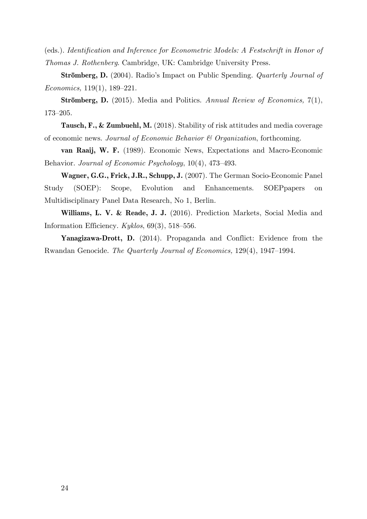(eds.). *Identification and Inference for Econometric Models: A Festschrift in Honor of Thomas J. Rothenberg*. Cambridge, UK: Cambridge University Press.

**Strömberg, D.** (2004). Radio's Impact on Public Spending. *Quarterly Journal of Economics,* 119(1), 189–221.

**Strömberg, D.** (2015). Media and Politics. *Annual Review of Economics,* 7(1), 173–205.

**Tausch, F., & Zumbuehl, M.** (2018). Stability of risk attitudes and media coverage of economic news. *Journal of Economic Behavior & Organization*, forthcoming.

**van Raaij, W. F.** (1989). Economic News, Expectations and Macro-Economic Behavior. *Journal of Economic Psychology*, 10(4), 473–493.

**Wagner, G.G., Frick, J.R., Schupp, J.** (2007). The German Socio-Economic Panel Study (SOEP): Scope, Evolution and Enhancements. SOEPpapers on Multidisciplinary Panel Data Research, No 1, Berlin.

**Williams, L. V. & Reade, J. J.** (2016). Prediction Markets, Social Media and Information Efficiency. *Kyklos*, 69(3), 518–556.

**Yanagizawa-Drott, D.** (2014). Propaganda and Conflict: Evidence from the Rwandan Genocide. *The Quarterly Journal of Economics,* 129(4), 1947–1994.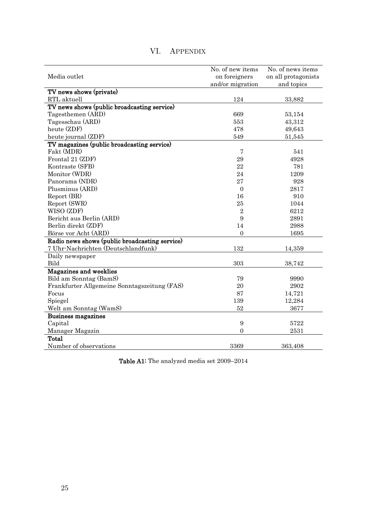| Media outlet                                   | No. of new items<br>on foreigners | No. of news items<br>on all protagonists |
|------------------------------------------------|-----------------------------------|------------------------------------------|
|                                                | and/or migration                  | and topics                               |
| TV news shows (private)                        |                                   |                                          |
| RTL aktuell                                    | 124                               | 33,882                                   |
| TV news shows (public broadcasting service)    |                                   |                                          |
| Tagesthemen (ARD)                              | 669                               | 53,154                                   |
| Tagesschau (ARD)                               | 553                               | 43,312                                   |
| heute (ZDF)                                    | 478                               | 49,643                                   |
| heute journal (ZDF)                            | 549                               | 51,545                                   |
| TV magazines (public broadcasting service)     |                                   |                                          |
| Fakt (MDR)                                     | $\overline{7}$                    | 541                                      |
| Frontal 21 (ZDF)                               | 29                                | 4928                                     |
| Kontraste (SFB)                                | 22                                | 781                                      |
| Monitor (WDR)                                  | 24                                | 1209                                     |
| Panorama (NDR)                                 | 27                                | 928                                      |
| Plusminus (ARD)                                | $\mathbf{0}$                      | 2817                                     |
| Report (BR)                                    | 16                                | 910                                      |
| Report (SWR)                                   | 25                                | 1044                                     |
| WISO (ZDF)                                     | $\overline{2}$                    | 6212                                     |
| Bericht aus Berlin (ARD)                       | 9                                 | 2891                                     |
| Berlin direkt (ZDF)                            | 14                                | 2988                                     |
| Börse vor Acht (ARD)                           | $\overline{0}$                    | 1695                                     |
| Radio news shows (public broadcasting service) |                                   |                                          |
| 7 Uhr-Nachrichten (Deutschlandfunk)            | 132                               | 14,359                                   |
| Daily newspaper                                |                                   |                                          |
| <b>Bild</b>                                    | 303                               | 38,742                                   |
| Magazines and weeklies                         |                                   |                                          |
| Bild am Sonntag (BamS)                         | 79                                | 9990                                     |
| Frankfurter Allgemeine Sonntagszeitung (FAS)   | 20                                | 2902                                     |
| Focus                                          | 87                                | 14,721                                   |
| Spiegel                                        | 139                               | 12,284                                   |
| Welt am Sonntag (WamS)                         | 52                                | 3677                                     |
| <b>Business magazines</b>                      |                                   |                                          |
| Capital                                        | 9                                 | 5722                                     |
| Manager Magazin                                | $\boldsymbol{0}$                  | 2531                                     |
| <b>Total</b>                                   |                                   |                                          |
| Number of observations                         | 3369                              | 363,408                                  |

# VI. APPENDIX

Table A1: The analyzed media set 2009–2014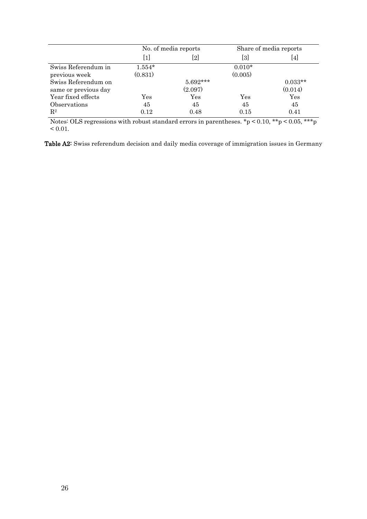|                      |                      | No. of media reports | Share of media reports |           |  |
|----------------------|----------------------|----------------------|------------------------|-----------|--|
|                      | $[1]$                | [2]                  | [3]                    | [4]       |  |
| Swiss Referendum in  | $1.554*$             |                      | $0.010*$               |           |  |
| previous week        | (0.831)              |                      | (0.005)                |           |  |
| Swiss Referendum on  |                      | $5.692***$           |                        | $0.033**$ |  |
| same or previous day |                      | (2.097)              |                        | (0.014)   |  |
| Year fixed effects   | $\operatorname{Yes}$ | Yes                  | Yes                    | Yes       |  |
| Observations         | 45                   | 45                   | 45                     | 45        |  |
| $\mathbf{R}^2$       | 0.12                 | 0.48                 | 0.15                   | 0.41      |  |

Notes: OLS regressions with robust standard errors in parentheses.  $\mathbf{r}$   $> 0.10$ ,  $\mathbf{r} \cdot \mathbf{r}$   $> 0.05$ ,  $\mathbf{r} \cdot \mathbf{r}$   $>$  $< 0.01$ .

Table A2: Swiss referendum decision and daily media coverage of immigration issues in Germany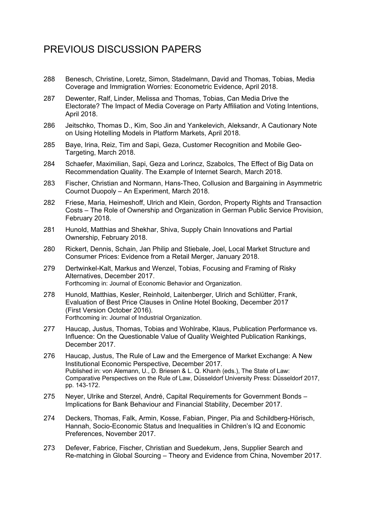# PREVIOUS DISCUSSION PAPERS

- 288 Benesch, Christine, Loretz, Simon, Stadelmann, David and Thomas, Tobias, Media Coverage and Immigration Worries: Econometric Evidence, April 2018.
- 287 Dewenter, Ralf, Linder, Melissa and Thomas, Tobias, Can Media Drive the Electorate? The Impact of Media Coverage on Party Affiliation and Voting Intentions, April 2018.
- 286 Jeitschko, Thomas D., Kim, Soo Jin and Yankelevich, Aleksandr, A Cautionary Note on Using Hotelling Models in Platform Markets, April 2018.
- 285 Baye, Irina, Reiz, Tim and Sapi, Geza, Customer Recognition and Mobile Geo-Targeting, March 2018.
- 284 Schaefer, Maximilian, Sapi, Geza and Lorincz, Szabolcs, The Effect of Big Data on Recommendation Quality. The Example of Internet Search, March 2018.
- 283 Fischer, Christian and Normann, Hans-Theo, Collusion and Bargaining in Asymmetric Cournot Duopoly – An Experiment, March 2018.
- 282 Friese, Maria, Heimeshoff, Ulrich and Klein, Gordon, Property Rights and Transaction Costs – The Role of Ownership and Organization in German Public Service Provision, February 2018.
- 281 Hunold, Matthias and Shekhar, Shiva, Supply Chain Innovations and Partial Ownership, February 2018.
- 280 Rickert, Dennis, Schain, Jan Philip and Stiebale, Joel, Local Market Structure and Consumer Prices: Evidence from a Retail Merger, January 2018.
- 279 Dertwinkel-Kalt, Markus and Wenzel, Tobias, Focusing and Framing of Risky Alternatives, December 2017. Forthcoming in: Journal of Economic Behavior and Organization.
- 278 Hunold, Matthias, Kesler, Reinhold, Laitenberger, Ulrich and Schlütter, Frank, Evaluation of Best Price Clauses in Online Hotel Booking, December 2017 (First Version October 2016). Forthcoming in: Journal of Industrial Organization.
- 277 Haucap, Justus, Thomas, Tobias and Wohlrabe, Klaus, Publication Performance vs. Influence: On the Questionable Value of Quality Weighted Publication Rankings, December 2017.
- 276 Haucap, Justus, The Rule of Law and the Emergence of Market Exchange: A New Institutional Economic Perspective, December 2017. Published in: von Alemann, U., D. Briesen & L. Q. Khanh (eds.), The State of Law: Comparative Perspectives on the Rule of Law, Düsseldorf University Press: Düsseldorf 2017, pp. 143-172.
- 275 Neyer, Ulrike and Sterzel, André, Capital Requirements for Government Bonds Implications for Bank Behaviour and Financial Stability, December 2017.
- 274 Deckers, Thomas, Falk, Armin, Kosse, Fabian, Pinger, Pia and Schildberg-Hörisch, Hannah, Socio-Economic Status and Inequalities in Children's IQ and Economic Preferences, November 2017.
- 273 Defever, Fabrice, Fischer, Christian and Suedekum, Jens, Supplier Search and Re-matching in Global Sourcing – Theory and Evidence from China, November 2017.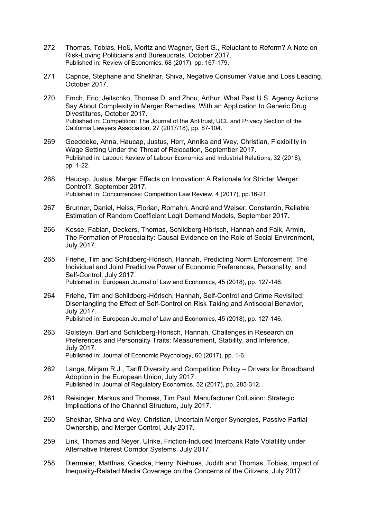- 272 Thomas, Tobias, Heß, Moritz and Wagner, Gert G., Reluctant to Reform? A Note on Risk-Loving Politicians and Bureaucrats, October 2017. Published in: Review of Economics, 68 (2017), pp. 167-179.
- 271 Caprice, Stéphane and Shekhar, Shiva, Negative Consumer Value and Loss Leading, October 2017.
- 270 Emch, Eric, Jeitschko, Thomas D. and Zhou, Arthur, What Past U.S. Agency Actions Say About Complexity in Merger Remedies, With an Application to Generic Drug Divestitures, October 2017. Published in: Competition: The Journal of the Antitrust, UCL and Privacy Section of the California Lawyers Association, 27 (2017/18), pp. 87-104.
- 269 Goeddeke, Anna, Haucap, Justus, Herr, Annika and Wey, Christian, Flexibility in Wage Setting Under the Threat of Relocation, September 2017. Published in: Labour: Review of Labour Economics and Industrial Relations, 32 (2018), pp. 1-22.
- 268 Haucap, Justus, Merger Effects on Innovation: A Rationale for Stricter Merger Control?, September 2017. Published in: Concurrences: Competition Law Review, 4 (2017), pp.16-21.
- 267 Brunner, Daniel, Heiss, Florian, Romahn, André and Weiser, Constantin, Reliable Estimation of Random Coefficient Logit Demand Models, September 2017.
- 266 Kosse, Fabian, Deckers, Thomas, Schildberg-Hörisch, Hannah and Falk, Armin, The Formation of Prosociality: Causal Evidence on the Role of Social Environment, July 2017.
- 265 Friehe, Tim and Schildberg-Hörisch, Hannah, Predicting Norm Enforcement: The Individual and Joint Predictive Power of Economic Preferences, Personality, and Self-Control, July 2017. Published in: European Journal of Law and Economics, 45 (2018), pp. 127-146.
- 264 Friehe, Tim and Schildberg-Hörisch, Hannah, Self-Control and Crime Revisited: Disentangling the Effect of Self-Control on Risk Taking and Antisocial Behavior, July 2017. Published in: European Journal of Law and Economics, 45 (2018), pp. 127-146.
- 263 Golsteyn, Bart and Schildberg-Hörisch, Hannah, Challenges in Research on Preferences and Personality Traits: Measurement, Stability, and Inference, July 2017. Published in: Journal of Economic Psychology, 60 (2017), pp. 1-6.
- 262 Lange, Mirjam R.J., Tariff Diversity and Competition Policy Drivers for Broadband Adoption in the European Union, July 2017. Published in: Journal of Regulatory Economics, 52 (2017), pp. 285-312.
- 261 Reisinger, Markus and Thomes, Tim Paul, Manufacturer Collusion: Strategic Implications of the Channel Structure, July 2017.
- 260 Shekhar, Shiva and Wey, Christian, Uncertain Merger Synergies, Passive Partial Ownership, and Merger Control, July 2017.
- 259 Link, Thomas and Neyer, Ulrike, Friction-Induced Interbank Rate Volatility under Alternative Interest Corridor Systems, July 2017.
- 258 Diermeier, Matthias, Goecke, Henry, Niehues, Judith and Thomas, Tobias, Impact of Inequality-Related Media Coverage on the Concerns of the Citizens, July 2017.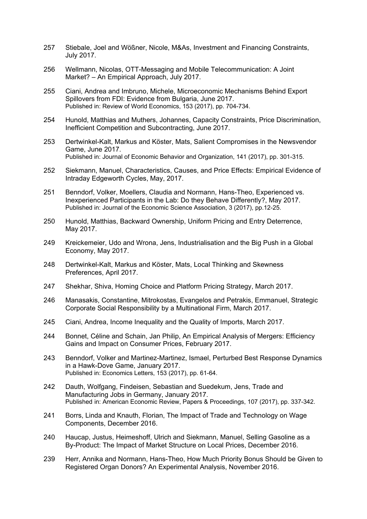- 257 Stiebale, Joel and Wößner, Nicole, M&As, Investment and Financing Constraints, July 2017.
- 256 Wellmann, Nicolas, OTT-Messaging and Mobile Telecommunication: A Joint Market? – An Empirical Approach, July 2017.
- 255 Ciani, Andrea and Imbruno, Michele, Microeconomic Mechanisms Behind Export Spillovers from FDI: Evidence from Bulgaria, June 2017. Published in: Review of World Economics, 153 (2017), pp. 704-734.
- 254 Hunold, Matthias and Muthers, Johannes, Capacity Constraints, Price Discrimination, Inefficient Competition and Subcontracting, June 2017.
- 253 Dertwinkel-Kalt, Markus and Köster, Mats, Salient Compromises in the Newsvendor Game, June 2017. Published in: Journal of Economic Behavior and Organization, 141 (2017), pp. 301-315.
- 252 Siekmann, Manuel, Characteristics, Causes, and Price Effects: Empirical Evidence of Intraday Edgeworth Cycles, May, 2017.
- 251 Benndorf, Volker, Moellers, Claudia and Normann, Hans-Theo, Experienced vs. Inexperienced Participants in the Lab: Do they Behave Differently?, May 2017. Published in: Journal of the Economic Science Association, 3 (2017), pp.12-25.
- 250 Hunold, Matthias, Backward Ownership, Uniform Pricing and Entry Deterrence, May 2017.
- 249 Kreickemeier, Udo and Wrona, Jens, Industrialisation and the Big Push in a Global Economy, May 2017.
- 248 Dertwinkel-Kalt, Markus and Köster, Mats, Local Thinking and Skewness Preferences, April 2017.
- 247 Shekhar, Shiva, Homing Choice and Platform Pricing Strategy, March 2017.
- 246 Manasakis, Constantine, Mitrokostas, Evangelos and Petrakis, Emmanuel, Strategic Corporate Social Responsibility by a Multinational Firm, March 2017.
- 245 Ciani, Andrea, Income Inequality and the Quality of Imports, March 2017.
- 244 Bonnet, Céline and Schain, Jan Philip, An Empirical Analysis of Mergers: Efficiency Gains and Impact on Consumer Prices, February 2017.
- 243 Benndorf, Volker and Martinez-Martinez, Ismael, Perturbed Best Response Dynamics in a Hawk-Dove Game, January 2017. Published in: Economics Letters, 153 (2017), pp. 61-64.
- 242 Dauth, Wolfgang, Findeisen, Sebastian and Suedekum, Jens, Trade and Manufacturing Jobs in Germany, January 2017. Published in: American Economic Review, Papers & Proceedings, 107 (2017), pp. 337-342.
- 241 Borrs, Linda and Knauth, Florian, The Impact of Trade and Technology on Wage Components, December 2016.
- 240 Haucap, Justus, Heimeshoff, Ulrich and Siekmann, Manuel, Selling Gasoline as a By-Product: The Impact of Market Structure on Local Prices, December 2016.
- 239 Herr, Annika and Normann, Hans-Theo, How Much Priority Bonus Should be Given to Registered Organ Donors? An Experimental Analysis, November 2016.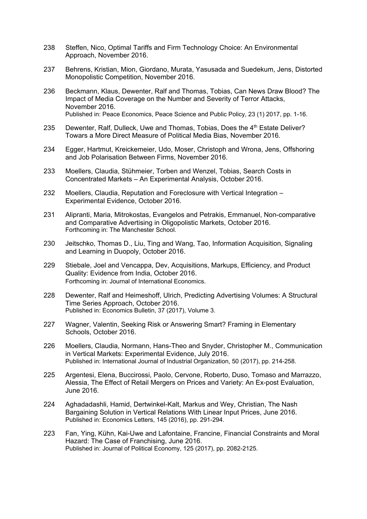- 238 Steffen, Nico, Optimal Tariffs and Firm Technology Choice: An Environmental Approach, November 2016.
- 237 Behrens, Kristian, Mion, Giordano, Murata, Yasusada and Suedekum, Jens, Distorted Monopolistic Competition, November 2016.
- 236 Beckmann, Klaus, Dewenter, Ralf and Thomas, Tobias, Can News Draw Blood? The Impact of Media Coverage on the Number and Severity of Terror Attacks, November 2016. Published in: Peace Economics, Peace Science and Public Policy, 23 (1) 2017, pp. 1-16.
- 235 Dewenter, Ralf, Dulleck, Uwe and Thomas, Tobias, Does the 4<sup>th</sup> Estate Deliver? Towars a More Direct Measure of Political Media Bias, November 2016.
- 234 Egger, Hartmut, Kreickemeier, Udo, Moser, Christoph and Wrona, Jens, Offshoring and Job Polarisation Between Firms, November 2016.
- 233 Moellers, Claudia, Stühmeier, Torben and Wenzel, Tobias, Search Costs in Concentrated Markets – An Experimental Analysis, October 2016.
- 232 Moellers, Claudia, Reputation and Foreclosure with Vertical Integration Experimental Evidence, October 2016.
- 231 Alipranti, Maria, Mitrokostas, Evangelos and Petrakis, Emmanuel, Non-comparative and Comparative Advertising in Oligopolistic Markets, October 2016. Forthcoming in: The Manchester School.
- 230 Jeitschko, Thomas D., Liu, Ting and Wang, Tao, Information Acquisition, Signaling and Learning in Duopoly, October 2016.
- 229 Stiebale, Joel and Vencappa, Dev, Acquisitions, Markups, Efficiency, and Product Quality: Evidence from India, October 2016. Forthcoming in: Journal of International Economics.
- 228 Dewenter, Ralf and Heimeshoff, Ulrich, Predicting Advertising Volumes: A Structural Time Series Approach, October 2016. Published in: Economics Bulletin, 37 (2017), Volume 3.
- 227 Wagner, Valentin, Seeking Risk or Answering Smart? Framing in Elementary Schools, October 2016.
- 226 Moellers, Claudia, Normann, Hans-Theo and Snyder, Christopher M., Communication in Vertical Markets: Experimental Evidence, July 2016. Published in: International Journal of Industrial Organization, 50 (2017), pp. 214-258.
- 225 Argentesi, Elena, Buccirossi, Paolo, Cervone, Roberto, Duso, Tomaso and Marrazzo, Alessia, The Effect of Retail Mergers on Prices and Variety: An Ex-post Evaluation, June 2016.
- 224 Aghadadashli, Hamid, Dertwinkel-Kalt, Markus and Wey, Christian, The Nash Bargaining Solution in Vertical Relations With Linear Input Prices, June 2016. Published in: Economics Letters, 145 (2016), pp. 291-294.
- 223 Fan, Ying, Kühn, Kai-Uwe and Lafontaine, Francine, Financial Constraints and Moral Hazard: The Case of Franchising, June 2016. Published in: Journal of Political Economy, 125 (2017), pp. 2082-2125.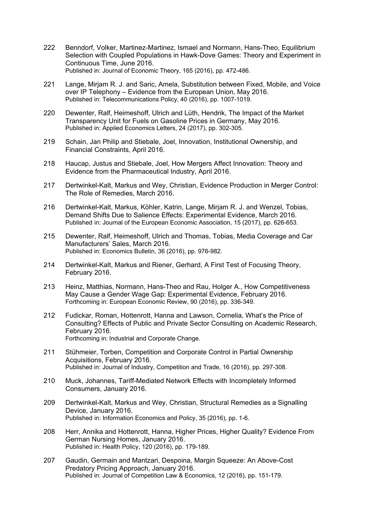- 222 Benndorf, Volker, Martinez-Martinez, Ismael and Normann, Hans-Theo, Equilibrium Selection with Coupled Populations in Hawk-Dove Games: Theory and Experiment in Continuous Time, June 2016. Published in: Journal of Economic Theory, 165 (2016), pp. 472-486.
- 221 Lange, Mirjam R. J. and Saric, Amela, Substitution between Fixed, Mobile, and Voice over IP Telephony – Evidence from the European Union, May 2016. Published in: Telecommunications Policy, 40 (2016), pp. 1007-1019.
- 220 Dewenter, Ralf, Heimeshoff, Ulrich and Lüth, Hendrik, The Impact of the Market Transparency Unit for Fuels on Gasoline Prices in Germany, May 2016. Published in: Applied Economics Letters, 24 (2017), pp. 302-305.
- 219 Schain, Jan Philip and Stiebale, Joel, Innovation, Institutional Ownership, and Financial Constraints, April 2016.
- 218 Haucap, Justus and Stiebale, Joel, How Mergers Affect Innovation: Theory and Evidence from the Pharmaceutical Industry, April 2016.
- 217 Dertwinkel-Kalt, Markus and Wey, Christian, Evidence Production in Merger Control: The Role of Remedies, March 2016.
- 216 Dertwinkel-Kalt, Markus, Köhler, Katrin, Lange, Mirjam R. J. and Wenzel, Tobias, Demand Shifts Due to Salience Effects: Experimental Evidence, March 2016. Published in: Journal of the European Economic Association, 15 (2017), pp. 626-653.
- 215 Dewenter, Ralf, Heimeshoff, Ulrich and Thomas, Tobias, Media Coverage and Car Manufacturers' Sales, March 2016. Published in: Economics Bulletin, 36 (2016), pp. 976-982.
- 214 Dertwinkel-Kalt, Markus and Riener, Gerhard, A First Test of Focusing Theory, February 2016.
- 213 Heinz, Matthias, Normann, Hans-Theo and Rau, Holger A., How Competitiveness May Cause a Gender Wage Gap: Experimental Evidence, February 2016. Forthcoming in: European Economic Review, 90 (2016), pp. 336-349.
- 212 Fudickar, Roman, Hottenrott, Hanna and Lawson, Cornelia, What's the Price of Consulting? Effects of Public and Private Sector Consulting on Academic Research, February 2016. Forthcoming in: Industrial and Corporate Change.
- 211 Stühmeier, Torben, Competition and Corporate Control in Partial Ownership Acquisitions, February 2016. Published in: Journal of Industry, Competition and Trade, 16 (2016), pp. 297-308.
- 210 Muck, Johannes, Tariff-Mediated Network Effects with Incompletely Informed Consumers, January 2016.
- 209 Dertwinkel-Kalt, Markus and Wey, Christian, Structural Remedies as a Signalling Device, January 2016. Published in: Information Economics and Policy, 35 (2016), pp. 1-6.
- 208 Herr, Annika and Hottenrott, Hanna, Higher Prices, Higher Quality? Evidence From German Nursing Homes, January 2016. Published in: Health Policy, 120 (2016), pp. 179-189.
- 207 Gaudin, Germain and Mantzari, Despoina, Margin Squeeze: An Above-Cost Predatory Pricing Approach, January 2016. Published in: Journal of Competition Law & Economics, 12 (2016), pp. 151-179.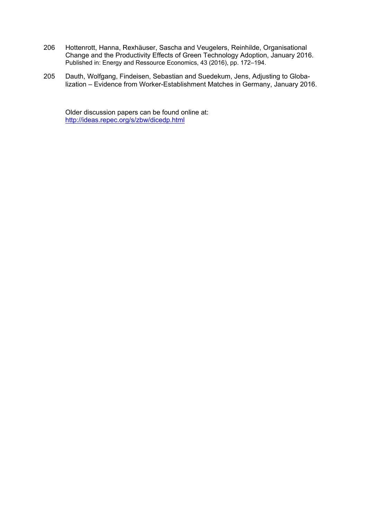- 206 Hottenrott, Hanna, Rexhäuser, Sascha and Veugelers, Reinhilde, Organisational Change and the Productivity Effects of Green Technology Adoption, January 2016. Published in: Energy and Ressource Economics, 43 (2016), pp. 172–194.
- 205 Dauth, Wolfgang, Findeisen, Sebastian and Suedekum, Jens, Adjusting to Globalization – Evidence from Worker-Establishment Matches in Germany, January 2016.

Older discussion papers can be found online at: http://ideas.repec.org/s/zbw/dicedp.html